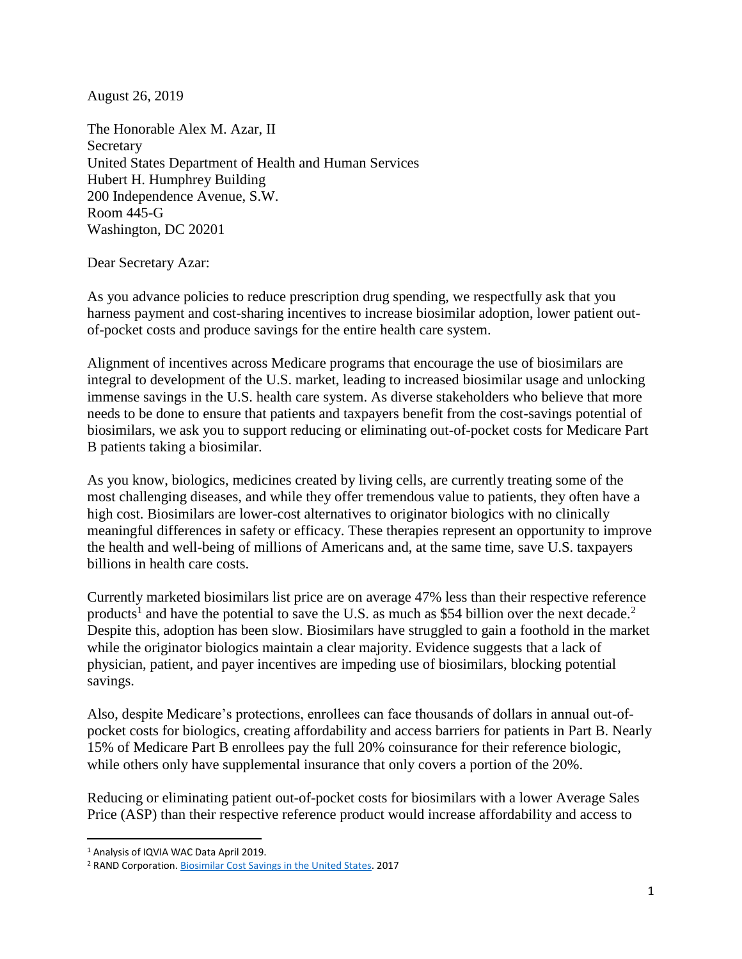August 26, 2019

The Honorable Alex M. Azar, II Secretary United States Department of Health and Human Services Hubert H. Humphrey Building 200 Independence Avenue, S.W. Room 445-G Washington, DC 20201

Dear Secretary Azar:

As you advance policies to reduce prescription drug spending, we respectfully ask that you harness payment and cost-sharing incentives to increase biosimilar adoption, lower patient outof-pocket costs and produce savings for the entire health care system.

Alignment of incentives across Medicare programs that encourage the use of biosimilars are integral to development of the U.S. market, leading to increased biosimilar usage and unlocking immense savings in the U.S. health care system. As diverse stakeholders who believe that more needs to be done to ensure that patients and taxpayers benefit from the cost-savings potential of biosimilars, we ask you to support reducing or eliminating out-of-pocket costs for Medicare Part B patients taking a biosimilar.

As you know, biologics, medicines created by living cells, are currently treating some of the most challenging diseases, and while they offer tremendous value to patients, they often have a high cost. Biosimilars are lower-cost alternatives to originator biologics with no clinically meaningful differences in safety or efficacy. These therapies represent an opportunity to improve the health and well-being of millions of Americans and, at the same time, save U.S. taxpayers billions in health care costs.

Currently marketed biosimilars list price are on average 47% less than their respective reference products<sup>1</sup> and have the potential to save the U.S. as much as \$54 billion over the next decade.<sup>2</sup> Despite this, adoption has been slow. Biosimilars have struggled to gain a foothold in the market while the originator biologics maintain a clear majority. Evidence suggests that a lack of physician, patient, and payer incentives are impeding use of biosimilars, blocking potential savings.

Also, despite Medicare's protections, enrollees can face thousands of dollars in annual out-ofpocket costs for biologics, creating affordability and access barriers for patients in Part B. Nearly 15% of Medicare Part B enrollees pay the full 20% coinsurance for their reference biologic, while others only have supplemental insurance that only covers a portion of the 20%.

Reducing or eliminating patient out-of-pocket costs for biosimilars with a lower Average Sales Price (ASP) than their respective reference product would increase affordability and access to

 $\overline{a}$ 

<sup>1</sup> Analysis of IQVIA WAC Data April 2019.

<sup>2</sup> RAND Corporation. [Biosimilar Cost Savings in the United States.](https://www.rand.org/news/press/2017/10/23.html) 2017